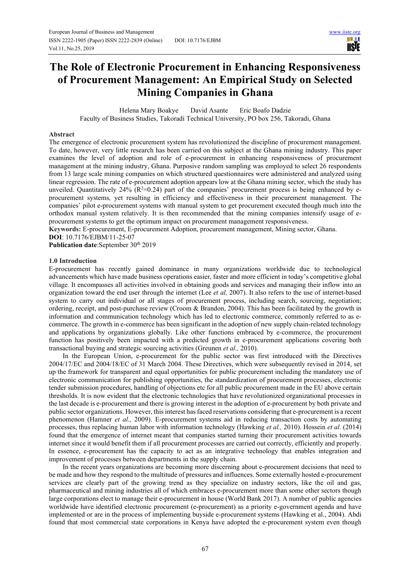# **The Role of Electronic Procurement in Enhancing Responsiveness of Procurement Management: An Empirical Study on Selected Mining Companies in Ghana**

Helena Mary Boakye David Asante Eric Boafo Dadzie Faculty of Business Studies, Takoradi Technical University, PO box 256, Takoradi, Ghana

# **Abstract**

The emergence of electronic procurement system has revolutionized the discipline of procurement management. To date, however, very little research has been carried on this subject at the Ghana mining industry. This paper examines the level of adoption and role of e-procurement in enhancing responsiveness of procurement management at the mining industry, Ghana. Purposive random sampling was employed to select 26 respondents from 13 large scale mining companies on which structured questionnaires were administered and analyzed using linear regression. The rate of e-procurement adoption appears low at the Ghana mining sector, which the study has unveiled. Quantitatively 24% ( $R^2$ =0.24) part of the companies' procurement process is being enhanced by eprocurement systems, yet resulting in efficiency and effectiveness in their procurement management. The companies' pilot e-procurement systems with manual system to get procurement executed though much into the orthodox manual system relatively. It is then recommended that the mining companies intensify usage of eprocurement systems to get the optimum impact on procurement management responsiveness.

**Keywords:** E-procurement, E-procurement Adoption, procurement management, Mining sector, Ghana. **DOI**: 10.7176/EJBM/11-25-07

Publication date:September 30<sup>th</sup> 2019

## **1.0 Introduction**

E-procurement has recently gained dominance in many organizations worldwide due to technological advancements which have made business operations easier, faster and more efficient in today's competitive global village. It encompasses all activities involved in obtaining goods and services and managing their inflow into an organization toward the end user through the internet (Lee *et al,* 2007). It also refers to the use of internet-based system to carry out individual or all stages of procurement process, including search, sourcing, negotiation; ordering, receipt, and post-purchase review (Croom & Brandon, 2004). This has been facilitated by the growth in information and communication technology which has led to electronic commerce, commonly referred to as ecommerce. The growth in e-commerce has been significant in the adoption of new supply chain-related technology and applications by organizations globally. Like other functions embraced by e-commerce, the procurement function has positively been impacted with a predicted growth in e-procurement applications covering both transactional buying and strategic sourcing activities (Greunen *et al.,* 2010).

In the European Union, e-procurement for the public sector was first introduced with the Directives 2004/17/EC and 2004/18/EC of 31 March 2004. These Directives, which were subsequently revised in 2014, set up the framework for transparent and equal opportunities for public procurement including the mandatory use of electronic communication for publishing opportunities, the standardization of procurement processes, electronic tender submission procedures, handling of objections etc for all public procurement made in the EU above certain thresholds. It is now evident that the electronic technologies that have revolutionized organizational processes in the last decade is e-procurement and there is growing interest in the adoption of e-procurement by both private and public sector organizations. However, this interest has faced reservations considering that e-procurement is a recent phenomenon (Hamner *et al.,* 2009). E-procurement systems aid in reducing transaction costs by automating processes, thus replacing human labor with information technology (Hawking *et al.,* 2010). Hossein *et al.* (2014) found that the emergence of internet meant that companies started turning their procurement activities towards internet since it would benefit them if all procurement processes are carried out correctly, efficiently and properly. In essence, e-procurement has the capacity to act as an integrative technology that enables integration and improvement of processes between departments in the supply chain.

In the recent years organizations are becoming more discerning about e-procurement decisions that need to be made and how they respond to the multitude of pressures and influences. Some externally hosted e-procurement services are clearly part of the growing trend as they specialize on industry sectors, like the oil and gas, pharmaceutical and mining industries all of which embraces e-procurement more than some other sectors though large corporations elect to manage their e-procurement in house (World Bank 2017). A number of public agencies worldwide have identified electronic procurement (e-procurement) as a priority e-government agenda and have implemented or are in the process of implementing buyside e-procurement systems (Hawking et al., 2004). Abdi found that most commercial state corporations in Kenya have adopted the e-procurement system even though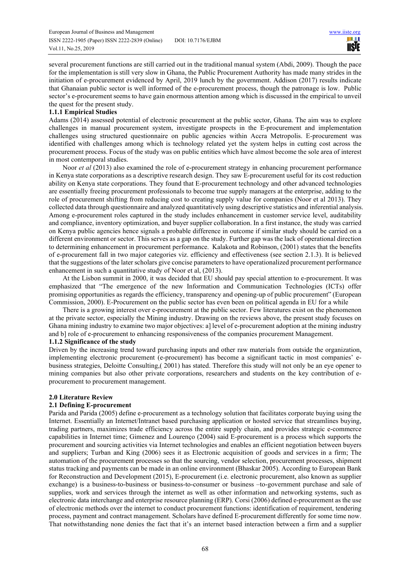several procurement functions are still carried out in the traditional manual system (Abdi, 2009). Though the pace for the implementation is still very slow in Ghana, the Public Procurement Authority has made many strides in the initiation of e-procurement evidenced by April, 2019 lunch by the government. Addison (2017) results indicate that Ghanaian public sector is well informed of the e-procurement process, though the patronage is low. Public sector's e-procurement seems to have gain enormous attention among which is discussed in the empirical to unveil the quest for the present study.

# **1.1.1 Empirical Studies**

Adams (2014) assessed potential of electronic procurement at the public sector, Ghana. The aim was to explore challenges in manual procurement system, investigate prospects in the E-procurement and implementation challenges using structured questionnaire on public agencies within Accra Metropolis. E-procurement was identified with challenges among which is technology related yet the system helps in cutting cost across the procurement process. Focus of the study was on public entities which have almost become the sole area of interest in most contemporal studies.

Noor *et al* (2013) also examined the role of e-procurement strategy in enhancing procurement performance in Kenya state corporations as a descriptive research design. They saw E-procurement useful for its cost reduction ability on Kenya state corporations. They found that E-procurement technology and other advanced technologies are essentially freeing procurement professionals to become true supply managers at the enterprise, adding to the role of procurement shifting from reducing cost to creating supply value for companies (Noor et al 2013). They collected data through questionnaire and analyzed quantitatively using descriptive statistics and inferential analysis. Among e-procurement roles captured in the study includes enhancement in customer service level, auditability and compliance, inventory optimization, and buyer supplier collaboration. In a first instance, the study was carried on Kenya public agencies hence signals a probable difference in outcome if similar study should be carried on a different environment or sector. This serves as a gap on the study. Further gap was the lack of operational direction to determining enhancement in procurement performance. Kalakota and Robinson, (2001) states that the benefits of e-procurement fall in two major categories viz. efficiency and effectiveness (see section 2.1.3). It is believed that the suggestions of the later scholars give concise parameters to have operationalized procurement performance enhancement in such a quantitative study of Noor et al, (2013).

At the Lisbon summit in 2000, it was decided that EU should pay special attention to e-procurement. It was emphasized that "The emergence of the new Information and Communication Technologies (ICTs) offer promising opportunities as regards the efficiency, transparency and opening-up of public procurement" (European Commission, 2000). E-Procurement on the public sector has even been on political agenda in EU for a while

There is a growing interest over e-procurement at the public sector. Few literatures exist on the phenomenon at the private sector, especially the Mining industry. Drawing on the reviews above, the present study focuses on Ghana mining industry to examine two major objectives: a] level of e-procurement adoption at the mining industry and b] role of e-procurement to enhancing responsiveness of the companies procurement Management.

## **1.1.2 Significance of the study**

Driven by the increasing trend toward purchasing inputs and other raw materials from outside the organization, implementing electronic procurement (e-procurement) has become a significant tactic in most companies' ebusiness strategies, Deloitte Consulting,( 2001) has stated. Therefore this study will not only be an eye opener to mining companies but also other private corporations, researchers and students on the key contribution of eprocurement to procurement management.

## **2.0 Literature Review**

## **2.1 Defining E-procurement**

Parida and Parida (2005) define e-procurement as a technology solution that facilitates corporate buying using the Internet. Essentially an Internet/Intranet based purchasing application or hosted service that streamlines buying, trading partners, maximizes trade efficiency across the entire supply chain, and provides strategic e-commerce capabilities in Internet time; Gimenez and Lourenço (2004) said E-procurement is a process which supports the procurement and sourcing activities via Internet technologies and enables an efficient negotiation between buyers and suppliers; Turban and King (2006) sees it as Electronic acquisition of goods and services in a firm; The automation of the procurement processes so that the sourcing, vendor selection, procurement processes, shipment status tracking and payments can be made in an online environment (Bhaskar 2005). According to European Bank for Reconstruction and Development (2015), E-procurement (i.e. electronic procurement, also known as supplier exchange) is a business-to-business or business-to-consumer or business –to-government purchase and sale of supplies, work and services through the internet as well as other information and networking systems, such as electronic data interchange and enterprise resource planning (ERP). Corsi (2006) defined e-procurement as the use of electronic methods over the internet to conduct procurement functions: identification of requirement, tendering process, payment and contract management. Scholars have defined E-procurement differently for some time now. That notwithstanding none denies the fact that it's an internet based interaction between a firm and a supplier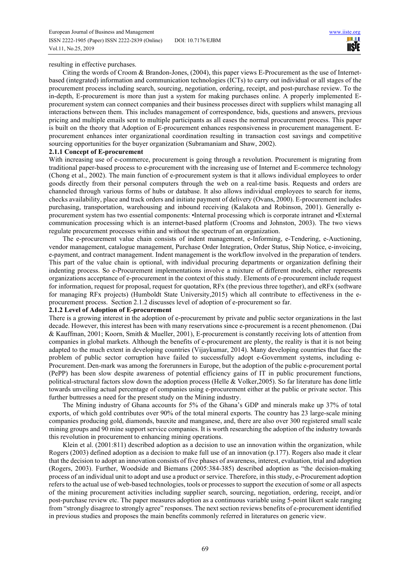resulting in effective purchases.

Citing the words of Croom & Brandon-Jones, (2004), this paper views E-Procurement as the use of Internetbased (integrated) information and communication technologies (ICTs) to carry out individual or all stages of the procurement process including search, sourcing, negotiation, ordering, receipt, and post-purchase review. To the in-depth, E-procurement is more than just a system for making purchases online. A properly implemented Eprocurement system can connect companies and their business processes direct with suppliers whilst managing all interactions between them. This includes management of correspondence, bids, questions and answers, previous pricing and multiple emails sent to multiple participants as all eases the normal procurement process. This paper is built on the theory that Adoption of E-procurement enhances responsiveness in procurement management. Eprocurement enhances inter organizational coordination resulting in transaction cost savings and competitive sourcing opportunities for the buyer organization (Subramaniam and Shaw, 2002).

# **2.1.1 Concept of E-procurement**

With increasing use of e-commerce, procurement is going through a revolution. Procurement is migrating from traditional paper-based process to e-procurement with the increasing use of Internet and E-commerce technology (Chong et al., 2002). The main function of e-procurement system is that it allows individual employees to order goods directly from their personal computers through the web on a real-time basis. Requests and orders are channeled through various forms of hubs or database. It also allows individual employees to search for items, checks availability, place and track orders and initiate payment of delivery (Ovans, 2000). E-procurement includes purchasing, transportation, warehousing and inbound receiving (Kalakota and Robinson, 2001). Generally eprocurement system has two essential components: •Internal processing which is corporate intranet and •External communication processing which is an internet-based platform (Crooms and Johnston, 2003). The two views regulate procurement processes within and without the spectrum of an organization.

The e-procurement value chain consists of indent management, e-Informing, e-Tendering, e-Auctioning, vendor management, catalogue management, Purchase Order Integration, Order Status, Ship Notice, e-invoicing, e-payment, and contract management. Indent management is the workflow involved in the preparation of tenders. This part of the value chain is optional, with individual procuring departments or organization defining their indenting process. So e-Procurement implementations involve a mixture of different models, either represents organizations acceptance of e-procurement in the context of this study. Elements of e-procurement include request for information, request for proposal, request for quotation, RFx (the previous three together), and eRFx (software for managing RFx projects) (Humboldt State University,2015) which all contribute to effectiveness in the eprocurement process. Section 2.1.2 discusses level of adoption of e-procurement so far.

# **2.1.2 Level of Adoption of E-procurement**

There is a growing interest in the adoption of e-procurement by private and public sector organizations in the last decade. However, this interest has been with many reservations since e-procurement is a recent phenomenon. (Dai & Kauffman, 2001; Koorn, Smith & Mueller, 2001), E-procurement is constantly receiving lots of attention from companies in global markets. Although the benefits of e-procurement are plenty, the reality is that it is not being adapted to the much extent in developing countries (Vijaykumar, 2014). Many developing countries that face the problem of public sector corruption have failed to successfully adopt e-Government systems, including e-Procurement. Den-mark was among the forerunners in Europe, but the adoption of the public e-procurement portal (PePP) has been slow despite awareness of potential efficiency gains of IT in public procurement functions, political-structural factors slow down the adoption process (Helle & Volker,2005). So far literature has done little towards unveiling actual percentage of companies using e-procurement either at the public or private sector. This further buttresses a need for the present study on the Mining industry.

The Mining industry of Ghana accounts for 5% of the Ghana's GDP and minerals make up 37% of total exports, of which gold contributes over 90% of the total mineral exports. The country has 23 large-scale mining companies producing gold, diamonds, bauxite and manganese, and, there are also over 300 registered small scale mining groups and 90 mine support service companies. It is worth researching the adoption of the industry towards this revolution in procurement to enhancing mining operations.

Klein et al. (2001:811) described adoption as a decision to use an innovation within the organization, while Rogers (2003) defined adoption as a decision to make full use of an innovation (p.177). Rogers also made it clear that the decision to adopt an innovation consists of five phases of awareness, interest, evaluation, trial and adoption (Rogers, 2003). Further, Woodside and Biemans (2005:384-385) described adoption as "the decision-making process of an individual unit to adopt and use a product or service. Therefore, in this study, e-Procurement adoption refers to the actual use of web-based technologies, tools or processes to support the execution of some or all aspects of the mining procurement activities including supplier search, sourcing, negotiation, ordering, receipt, and/or post-purchase review etc. The paper measures adoption as a continuous variable using 5-point likert scale ranging from "strongly disagree to strongly agree" responses. The next section reviews benefits of e-procurement identified in previous studies and proposes the main benefits commonly referred in literatures on generic view.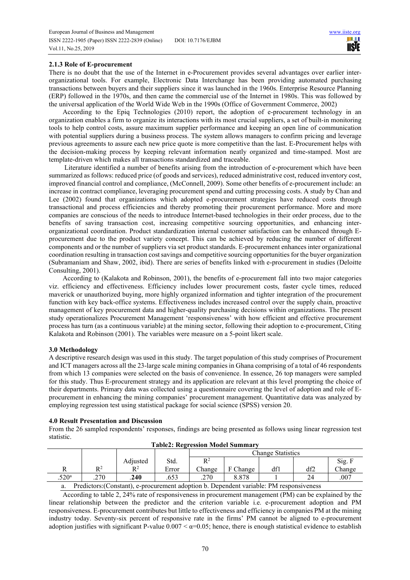# **2.1.3 Role of E-procurement**

There is no doubt that the use of the Internet in e-Procurement provides several advantages over earlier interorganizational tools. For example, Electronic Data Interchange has been providing automated purchasing transactions between buyers and their suppliers since it was launched in the 1960s. Enterprise Resource Planning (ERP) followed in the 1970s, and then came the commercial use of the Internet in 1980s. This was followed by the universal application of the World Wide Web in the 1990s (Office of Government Commerce, 2002)

According to the Epiq Technologies (2010) report, the adoption of e-procurement technology in an organization enables a firm to organize its interactions with its most crucial suppliers, a set of built-in monitoring tools to help control costs, assure maximum supplier performance and keeping an open line of communication with potential suppliers during a business process. The system allows managers to confirm pricing and leverage previous agreements to assure each new price quote is more competitive than the last. E-Procurement helps with the decision-making process by keeping relevant information neatly organized and time-stamped. Most are template-driven which makes all transactions standardized and traceable.

 Literature identified a number of benefits arising from the introduction of e-procurement which have been summarized as follows: reduced price (of goods and services), reduced administrative cost, reduced inventory cost, improved financial control and compliance, (McConnell, 2009). Some other benefits of e-procurement include: an increase in contract compliance, leveraging procurement spend and cutting processing costs. A study by Chan and Lee (2002) found that organizations which adopted e-procurement strategies have reduced costs through transactional and process efficiencies and thereby promoting their procurement performance. More and more companies are conscious of the needs to introduce Internet-based technologies in their order process, due to the benefits of saving transaction cost, increasing competitive sourcing opportunities, and enhancing interorganizational coordination. Product standardization internal customer satisfaction can be enhanced through Eprocurement due to the product variety concept. This can be achieved by reducing the number of different components and or the number of suppliers via set product standards. E-procurement enhances inter organizational coordination resulting in transaction cost savings and competitive sourcing opportunities for the buyer organization (Subramaniam and Shaw, 2002, ibid). There are series of benefits linked with e-procurement in studies (Deloitte Consulting, 2001).

According to (Kalakota and Robinson, 2001), the benefits of e-procurement fall into two major categories viz. efficiency and effectiveness. Efficiency includes lower procurement costs, faster cycle times, reduced maverick or unauthorized buying, more highly organized information and tighter integration of the procurement function with key back-office systems. Effectiveness includes increased control over the supply chain, proactive management of key procurement data and higher-quality purchasing decisions within organizations. The present study operationalizes Procurement Management 'responsiveness' with how efficient and effective procurement process has turn (as a continuous variable) at the mining sector, following their adoption to e-procurement, Citing Kalakota and Robinson (2001). The variables were measure on a 5-point likert scale.

## **3.0 Methodology**

A descriptive research design was used in this study. The target population of this study comprises of Procurement and ICT managers across all the 23-large scale mining companies in Ghana comprising of a total of 46 respondents from which 13 companies were selected on the basis of convenience. In essence, 26 top managers were sampled for this study. Thus E-procurement strategy and its application are relevant at this level prompting the choice of their departments. Primary data was collected using a questionnaire covering the level of adoption and role of Eprocurement in enhancing the mining companies' procurement management. Quantitative data was analyzed by employing regression test using statistical package for social science (SPSS) version 20.

## **4.0 Result Presentation and Discussion**

From the 26 sampled respondents' responses, findings are being presented as follows using linear regression test statistic.

| TWAINT, TWEI ASSISTENTIAN RAIHINI                                                             |                |          |       |                   |          |     |     |        |
|-----------------------------------------------------------------------------------------------|----------------|----------|-------|-------------------|----------|-----|-----|--------|
|                                                                                               |                |          |       | Change Statistics |          |     |     |        |
|                                                                                               |                | Adjusted | Std.  | $\mathbb{R}^2$    |          |     |     | Sig. F |
|                                                                                               | $\mathbf{R}^2$ | $R^2$    | Error | Change            | F Change | df1 | df2 | Change |
| .520 <sup>a</sup>                                                                             | 270            | .240     | .653  | .270              | 8.878    |     | 24  | .007   |
| Predictors: (Constant), e-procurement adoption b. Dependent variable: PM responsiveness<br>a. |                |          |       |                   |          |     |     |        |

**Table2: Regression Model Summary** 

According to table 2, 24% rate of responsiveness in procurement management (PM) can be explained by the linear relationship between the predictor and the criterion variable i.e. e-procurement adoption and PM responsiveness. E-procurement contributes but little to effectiveness and efficiency in companies PM at the mining industry today. Seventy-six percent of responsive rate in the firms' PM cannot be aligned to e-procurement adoption justifies with significant P-value  $0.007 < \alpha = 0.05$ ; hence, there is enough statistical evidence to establish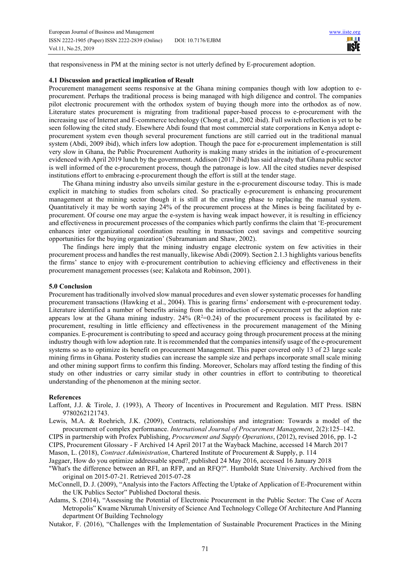that responsiveness in PM at the mining sector is not utterly defined by E-procurement adoption.

#### **4.1 Discussion and practical implication of Result**

Procurement management seems responsive at the Ghana mining companies though with low adoption to eprocurement. Perhaps the traditional process is being managed with high diligence and control. The companies pilot electronic procurement with the orthodox system of buying though more into the orthodox as of now. Literature states procurement is migrating from traditional paper-based process to e-procurement with the increasing use of Internet and E-commerce technology (Chong et al., 2002 ibid). Full switch reflection is yet to be seen following the cited study. Elsewhere Abdi found that most commercial state corporations in Kenya adopt eprocurement system even though several procurement functions are still carried out in the traditional manual system (Abdi, 2009 ibid), which infers low adoption. Though the pace for e-procurement implementation is still very slow in Ghana, the Public Procurement Authority is making many strides in the initiation of e-procurement evidenced with April 2019 lunch by the government. Addison (2017 ibid) has said already that Ghana public sector is well informed of the e-procurement process, though the patronage is low. All the cited studies never despised institutions effort to embracing e-procurement though the effort is still at the tender stage.

The Ghana mining industry also unveils similar gesture in the e-procurement discourse today. This is made explicit in matching to studies from scholars cited. So practically e-procurement is enhancing procurement management at the mining sector though it is still at the crawling phase to replacing the manual system. Quantitatively it may be worth saying 24% of the procurement process at the Mines is being facilitated by eprocurement. Of course one may argue the e-system is having weak impact however, it is resulting in efficiency and effectiveness in procurement processes of the companies which partly confirms the claim that 'E-procurement enhances inter organizational coordination resulting in transaction cost savings and competitive sourcing opportunities for the buying organization' (Subramaniam and Shaw, 2002).

The findings here imply that the mining industry engage electronic system on few activities in their procurement process and handles the rest manually, likewise Abdi (2009). Section 2.1.3 highlights various benefits the firms' stance to enjoy with e-procurement contribution to achieving efficiency and effectiveness in their procurement management processes (see; Kalakota and Robinson, 2001).

#### **5.0 Conclusion**

Procurement has traditionally involved slow manual procedures and even slower systematic processes for handling procurement transactions (Hawking et al., 2004). This is gearing firms' endorsement with e-procurement today. Literature identified a number of benefits arising from the introduction of e-procurement yet the adoption rate appears low at the Ghana mining industry. 24%  $(R^2=0.24)$  of the procurement process is facilitated by eprocurement, resulting in little efficiency and effectiveness in the procurement management of the Mining companies. E-procurement is contributing to speed and accuracy going through procurement process at the mining industry though with low adoption rate. It is recommended that the companies intensify usage of the e-procurement systems so as to optimize its benefit on procurement Management. This paper covered only 13 of 23 large scale mining firms in Ghana. Posterity studies can increase the sample size and perhaps incorporate small scale mining and other mining support firms to confirm this finding. Moreover, Scholars may afford testing the finding of this study on other industries or carry similar study in other countries in effort to contributing to theoretical understanding of the phenomenon at the mining sector.

#### **References**

- Laffont, J.J. & Tirole, J. (1993), A Theory of Incentives in Procurement and Regulation. MIT Press. ISBN 9780262121743.
- Lewis, M.A. & Roehrich, J.K. (2009), Contracts, relationships and integration: Towards a model of the procurement of complex performance. *International Journal of Procurement Management*, 2(2):125–142.
- CIPS in partnership with Profex Publishing, *Procurement and Supply Operations*, (2012), revised 2016, pp. 1-2
- CIPS, Procurement Glossary F Archived 14 April 2017 at the Wayback Machine, accessed 14 March 2017

Mason, L. (2018), *Contract Administration*, Chartered Institute of Procurement & Supply, p. 114

Jaggaer, How do you optimize addressable spend?, published 24 May 2016, accessed 16 January 2018

- "What's the difference between an RFI, an RFP, and an RFQ?". Humboldt State University. Archived from the original on 2015-07-21. Retrieved 2015-07-28
- McConnell, D. J. (2009), "Analysis into the Factors Affecting the Uptake of Application of E-Procurement within the UK Publics Sector" Published Doctoral thesis.
- Adams, S. (2014), "Assessing the Potential of Electronic Procurement in the Public Sector: The Case of Accra Metropolis" Kwame Nkrumah University of Science And Technology College Of Architecture And Planning department Of Building Technology

Nutakor, F. (2016), "Challenges with the Implementation of Sustainable Procurement Practices in the Mining